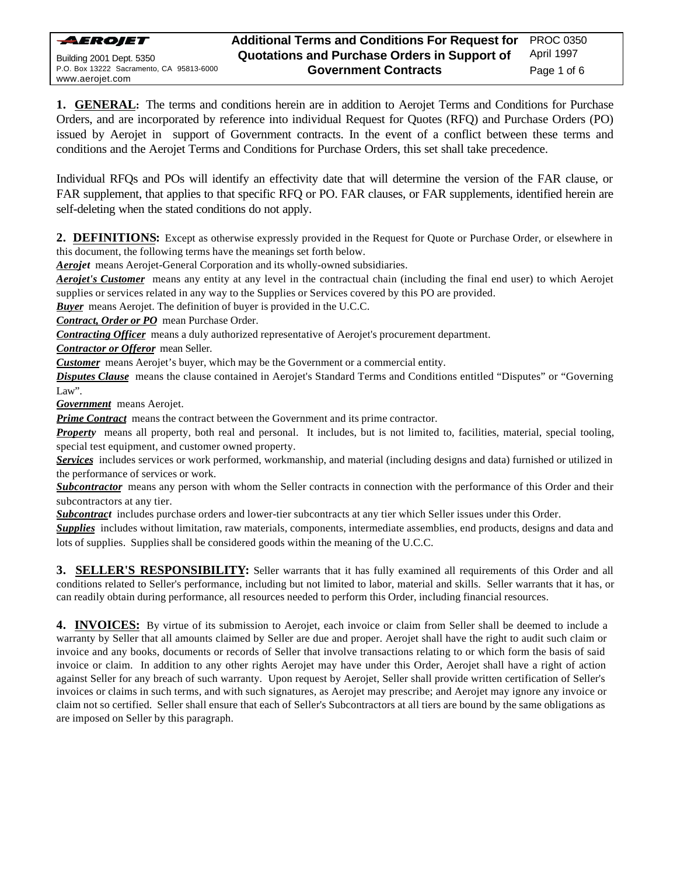

**1. GENERAL:** The terms and conditions herein are in addition to Aerojet Terms and Conditions for Purchase Orders, and are incorporated by reference into individual Request for Quotes (RFQ) and Purchase Orders (PO) issued by Aerojet in support of Government contracts. In the event of a conflict between these terms and conditions and the Aerojet Terms and Conditions for Purchase Orders, this set shall take precedence.

Individual RFQs and POs will identify an effectivity date that will determine the version of the FAR clause, or FAR supplement, that applies to that specific RFQ or PO. FAR clauses, or FAR supplements, identified herein are self-deleting when the stated conditions do not apply.

**2. DEFINITIONS:** Except as otherwise expressly provided in the Request for Quote or Purchase Order, or elsewhere in this document, the following terms have the meanings set forth below.

**Aerojet** means Aerojet-General Corporation and its wholly-owned subsidiaries.

*Aerojet's Customer* means any entity at any level in the contractual chain (including the final end user) to which Aerojet supplies or services related in any way to the Supplies or Services covered by this PO are provided.

**Buyer** means Aerojet. The definition of buyer is provided in the U.C.C.

*Contract, Order or PO* mean Purchase Order.

*Contracting Officer* means a duly authorized representative of Aerojet's procurement department.

*Contractor or Offeror* mean Seller.

*Customer* means Aerojet's buyer, which may be the Government or a commercial entity.

*Disputes Clause* means the clause contained in Aerojet's Standard Terms and Conditions entitled "Disputes" or "Governing Law".

*Government* means Aerojet.

**Prime Contract** means the contract between the Government and its prime contractor.

*Property* means all property, both real and personal. It includes, but is not limited to, facilities, material, special tooling, special test equipment, and customer owned property.

*Services* includes services or work performed, workmanship, and material (including designs and data) furnished or utilized in the performance of services or work.

**Subcontractor** means any person with whom the Seller contracts in connection with the performance of this Order and their subcontractors at any tier.

*Subcontract* includes purchase orders and lower-tier subcontracts at any tier which Seller issues under this Order.

*Supplies* includes without limitation, raw materials, components, intermediate assemblies, end products, designs and data and lots of supplies. Supplies shall be considered goods within the meaning of the U.C.C.

**3. SELLER'S RESPONSIBILITY:** Seller warrants that it has fully examined all requirements of this Order and all conditions related to Seller's performance, including but not limited to labor, material and skills. Seller warrants that it has, or can readily obtain during performance, all resources needed to perform this Order, including financial resources.

**4. INVOICES:** By virtue of its submission to Aerojet, each invoice or claim from Seller shall be deemed to include a warranty by Seller that all amounts claimed by Seller are due and proper. Aerojet shall have the right to audit such claim or invoice and any books, documents or records of Seller that involve transactions relating to or which form the basis of said invoice or claim. In addition to any other rights Aerojet may have under this Order, Aerojet shall have a right of action against Seller for any breach of such warranty. Upon request by Aerojet, Seller shall provide written certification of Seller's invoices or claims in such terms, and with such signatures, as Aerojet may prescribe; and Aerojet may ignore any invoice or claim not so certified. Seller shall ensure that each of Seller's Subcontractors at all tiers are bound by the same obligations as are imposed on Seller by this paragraph.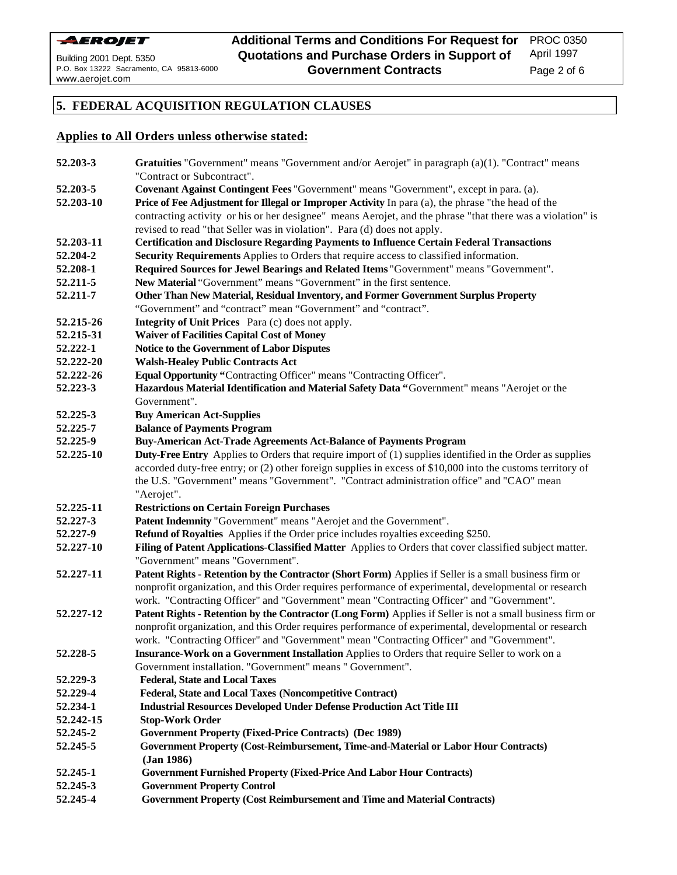

Page 2 of 6

# **5. FEDERAL ACQUISITION REGULATION CLAUSES**

# **Applies to All Orders unless otherwise stated:**

| 52.203-3  | Gratuities "Government" means "Government and/or Aerojet" in paragraph (a)(1). "Contract" means                                                             |
|-----------|-------------------------------------------------------------------------------------------------------------------------------------------------------------|
|           | "Contract or Subcontract".                                                                                                                                  |
| 52.203-5  | Covenant Against Contingent Fees "Government" means "Government", except in para. (a).                                                                      |
| 52.203-10 | Price of Fee Adjustment for Illegal or Improper Activity In para (a), the phrase "the head of the                                                           |
|           | contracting activity or his or her designee" means Aerojet, and the phrase "that there was a violation" is                                                  |
|           | revised to read "that Seller was in violation". Para (d) does not apply.                                                                                    |
| 52.203-11 | <b>Certification and Disclosure Regarding Payments to Influence Certain Federal Transactions</b>                                                            |
| 52.204-2  | Security Requirements Applies to Orders that require access to classified information.                                                                      |
| 52.208-1  | Required Sources for Jewel Bearings and Related Items "Government" means "Government".                                                                      |
| 52.211-5  | New Material "Government" means "Government" in the first sentence.                                                                                         |
| 52.211-7  | Other Than New Material, Residual Inventory, and Former Government Surplus Property                                                                         |
|           | "Government" and "contract" mean "Government" and "contract".                                                                                               |
| 52.215-26 | <b>Integrity of Unit Prices</b> Para (c) does not apply.                                                                                                    |
| 52.215-31 | <b>Waiver of Facilities Capital Cost of Money</b>                                                                                                           |
| 52.222-1  | Notice to the Government of Labor Disputes                                                                                                                  |
| 52.222-20 | <b>Walsh-Healey Public Contracts Act</b>                                                                                                                    |
| 52.222-26 | Equal Opportunity "Contracting Officer" means "Contracting Officer".                                                                                        |
| 52.223-3  | Hazardous Material Identification and Material Safety Data "Government" means "Aerojet or the                                                               |
|           | Government".                                                                                                                                                |
| 52.225-3  | <b>Buy American Act-Supplies</b>                                                                                                                            |
| 52.225-7  | <b>Balance of Payments Program</b>                                                                                                                          |
| 52.225-9  | <b>Buy-American Act-Trade Agreements Act-Balance of Payments Program</b>                                                                                    |
| 52.225-10 | <b>Duty-Free Entry</b> Applies to Orders that require import of (1) supplies identified in the Order as supplies                                            |
|           | accorded duty-free entry; or (2) other foreign supplies in excess of \$10,000 into the customs territory of                                                 |
|           | the U.S. "Government" means "Government". "Contract administration office" and "CAO" mean                                                                   |
|           | "Aerojet".                                                                                                                                                  |
| 52.225-11 | <b>Restrictions on Certain Foreign Purchases</b>                                                                                                            |
| 52.227-3  | Patent Indemnity "Government" means "Aerojet and the Government".                                                                                           |
| 52.227-9  | Refund of Royalties Applies if the Order price includes royalties exceeding \$250.                                                                          |
| 52.227-10 | Filing of Patent Applications-Classified Matter Applies to Orders that cover classified subject matter.                                                     |
|           | "Government" means "Government".                                                                                                                            |
| 52.227-11 | Patent Rights - Retention by the Contractor (Short Form) Applies if Seller is a small business firm or                                                      |
|           | nonprofit organization, and this Order requires performance of experimental, developmental or research                                                      |
|           | work. "Contracting Officer" and "Government" mean "Contracting Officer" and "Government".                                                                   |
| 52.227-12 | Patent Rights - Retention by the Contractor (Long Form) Applies if Seller is not a small business firm or                                                   |
|           | nonprofit organization, and this Order requires performance of experimental, developmental or research                                                      |
|           | work. "Contracting Officer" and "Government" mean "Contracting Officer" and "Government".                                                                   |
| 52.228-5  | Insurance-Work on a Government Installation Applies to Orders that require Seller to work on a<br>Government installation. "Government" means "Government". |
| 52.229-3  | <b>Federal, State and Local Taxes</b>                                                                                                                       |
| 52.229-4  | <b>Federal, State and Local Taxes (Noncompetitive Contract)</b>                                                                                             |
| 52.234-1  | <b>Industrial Resources Developed Under Defense Production Act Title III</b>                                                                                |
| 52.242-15 | <b>Stop-Work Order</b>                                                                                                                                      |
| 52.245-2  | <b>Government Property (Fixed-Price Contracts) (Dec 1989)</b>                                                                                               |
| 52.245-5  | Government Property (Cost-Reimbursement, Time-and-Material or Labor Hour Contracts)                                                                         |
|           | (Jan 1986)                                                                                                                                                  |
| 52.245-1  | <b>Government Furnished Property (Fixed-Price And Labor Hour Contracts)</b>                                                                                 |
| 52.245-3  | <b>Government Property Control</b>                                                                                                                          |
| 52.245-4  | <b>Government Property (Cost Reimbursement and Time and Material Contracts)</b>                                                                             |
|           |                                                                                                                                                             |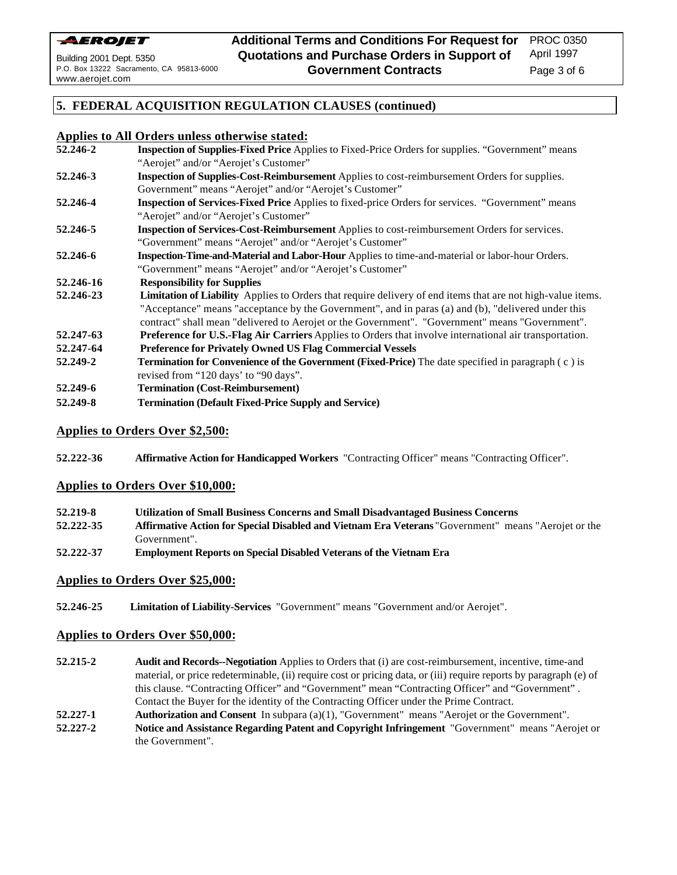

Page 3 of 6

### **5. FEDERAL ACQUISITION REGULATION CLAUSES (continued)**

## **Applies to All Orders unless otherwise stated:**

- **52.246-2 Inspection of Supplies-Fixed Price** Applies to Fixed-Price Orders for supplies. "Government" means "Aerojet" and/or "Aerojet's Customer" **52.246-3 Inspection of Supplies-Cost-Reimbursement** Applies to cost-reimbursement Orders for supplies. Government" means "Aerojet" and/or "Aerojet's Customer" **52.246-4 Inspection of Services-Fixed Price** Applies to fixed-price Orders for services. "Government" means "Aerojet" and/or "Aerojet's Customer" **52.246-5 Inspection of Services-Cost-Reimbursement** Applies to cost-reimbursement Orders for services. "Government" means "Aerojet" and/or "Aerojet's Customer" **52.246-6 Inspection-Time-and-Material and Labor-Hour** Applies to time-and-material or labor-hour Orders. "Government" means "Aerojet" and/or "Aerojet's Customer" **52.246-16 Responsibility for Supplies 52.246-23 Limitation of Liability** Applies to Orders that require delivery of end items that are not high-value items. "Acceptance" means "acceptance by the Government", and in paras (a) and (b), "delivered under this contract" shall mean "delivered to Aerojet or the Government". "Government" means "Government". **52.247-63 Preference for U.S.-Flag Air Carriers** Applies to Orders that involve international air transportation. **52.247-64 Preference for Privately Owned US Flag Commercial Vessels 52.249-2 Termination for Convenience of the Government (Fixed-Price)** The date specified in paragraph ( c ) is revised from "120 days' to "90 days". **52.249-6 Termination (Cost-Reimbursement)**
- **52.249-8 Termination (Default Fixed-Price Supply and Service)**

## **Applies to Orders Over \$2,500:**

**52.222-36 Affirmative Action for Handicapped Workers** "Contracting Officer" means "Contracting Officer".

#### **Applies to Orders Over \$10,000:**

- **52.219-8 Utilization of Small Business Concerns and Small Disadvantaged Business Concerns**
- **52.222-35 Affirmative Action for Special Disabled and Vietnam Era Veterans** "Government" means "Aerojet or the Government".
- **52.222-37 Employment Reports on Special Disabled Veterans of the Vietnam Era**

## **Applies to Orders Over \$25,000:**

**52.246-25 Limitation of Liability-Services** "Government" means "Government and/or Aerojet".

#### **Applies to Orders Over \$50,000:**

- **52.215-2 Audit and Records--Negotiation** Applies to Orders that (i) are cost-reimbursement, incentive, time-and material, or price redeterminable, (ii) require cost or pricing data, or (iii) require reports by paragraph (e) of this clause. "Contracting Officer" and "Government" mean "Contracting Officer" and "Government" . Contact the Buyer for the identity of the Contracting Officer under the Prime Contract.
- **52.227-1 Authorization and Consent** In subpara (a)(1), "Government" means "Aerojet or the Government".
- **52.227-2 Notice and Assistance Regarding Patent and Copyright Infringement** "Government" means "Aerojet or the Government".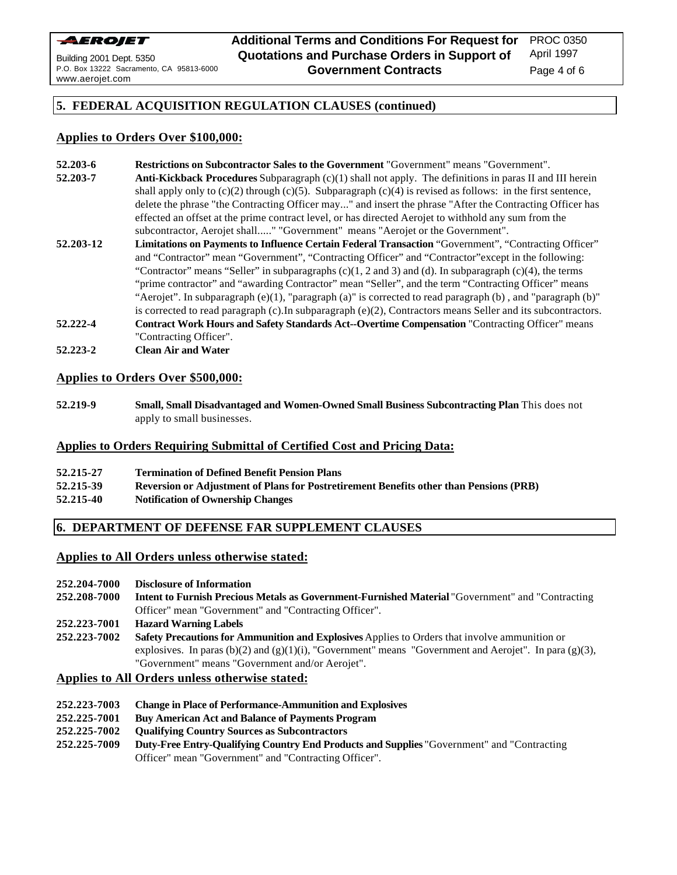

PROC 0350 April 1997

Page 4 of 6

# **5. FEDERAL ACQUISITION REGULATION CLAUSES (continued)**

# **Applies to Orders Over \$100,000:**

- **52.203-6 Restrictions on Subcontractor Sales to the Government** "Government" means "Government". **52.203-7 Anti-Kickback Procedures** Subparagraph (c)(1) shall not apply. The definitions in paras II and III herein shall apply only to  $(c)(2)$  through  $(c)(5)$ . Subparagraph  $(c)(4)$  is revised as follows: in the first sentence, delete the phrase "the Contracting Officer may..." and insert the phrase "After the Contracting Officer has effected an offset at the prime contract level, or has directed Aerojet to withhold any sum from the subcontractor, Aerojet shall....." "Government" means "Aerojet or the Government".
- **52.203-12 Limitations on Payments to Influence Certain Federal Transaction** "Government", "Contracting Officer" and "Contractor" mean "Government", "Contracting Officer" and "Contractor"except in the following: "Contractor" means "Seller" in subparagraphs  $(c)(1, 2 \text{ and } 3)$  and (d). In subparagraph  $(c)(4)$ , the terms "prime contractor" and "awarding Contractor" mean "Seller", and the term "Contracting Officer" means "Aerojet". In subparagraph (e)(1), "paragraph (a)" is corrected to read paragraph (b) , and "paragraph (b)" is corrected to read paragraph (c).In subparagraph (e)(2), Contractors means Seller and its subcontractors. **52.222-4 Contract Work Hours and Safety Standards Act--Overtime Compensation** "Contracting Officer" means
- "Contracting Officer". **52.223-2 Clean Air and Water**

## **Applies to Orders Over \$500,000:**

**52.219-9 Small, Small Disadvantaged and Women-Owned Small Business Subcontracting Plan** This does not apply to small businesses.

## **Applies to Orders Requiring Submittal of Certified Cost and Pricing Data:**

| 52.215-27 | <b>Termination of Defined Benefit Pension Plans</b>                                    |
|-----------|----------------------------------------------------------------------------------------|
| 52.215-39 | Reversion or Adjustment of Plans for Postretirement Benefits other than Pensions (PRB) |
| 52.215-40 | <b>Notification of Ownership Changes</b>                                               |

# **6. DEPARTMENT OF DEFENSE FAR SUPPLEMENT CLAUSES**

## **Applies to All Orders unless otherwise stated:**

- **252.204-7000 Disclosure of Information**
- **252.208-7000 Intent to Furnish Precious Metals as Government-Furnished Material** "Government" and "Contracting Officer" mean "Government" and "Contracting Officer".

## **252.223-7001 Hazard Warning Labels**

**252.223-7002 Safety Precautions for Ammunition and Explosives** Applies to Orders that involve ammunition or explosives. In paras (b)(2) and (g)(1)(i), "Government" means "Government and Aerojet". In para (g)(3), "Government" means "Government and/or Aerojet".

## **Applies to All Orders unless otherwise stated:**

- **252.223-7003 Change in Place of Performance-Ammunition and Explosives**
- **252.225-7001 Buy American Act and Balance of Payments Program**
- **252.225-7002 Qualifying Country Sources as Subcontractors**
- **252.225-7009 Duty-Free Entry-Qualifying Country End Products and Supplies** "Government" and "Contracting Officer" mean "Government" and "Contracting Officer".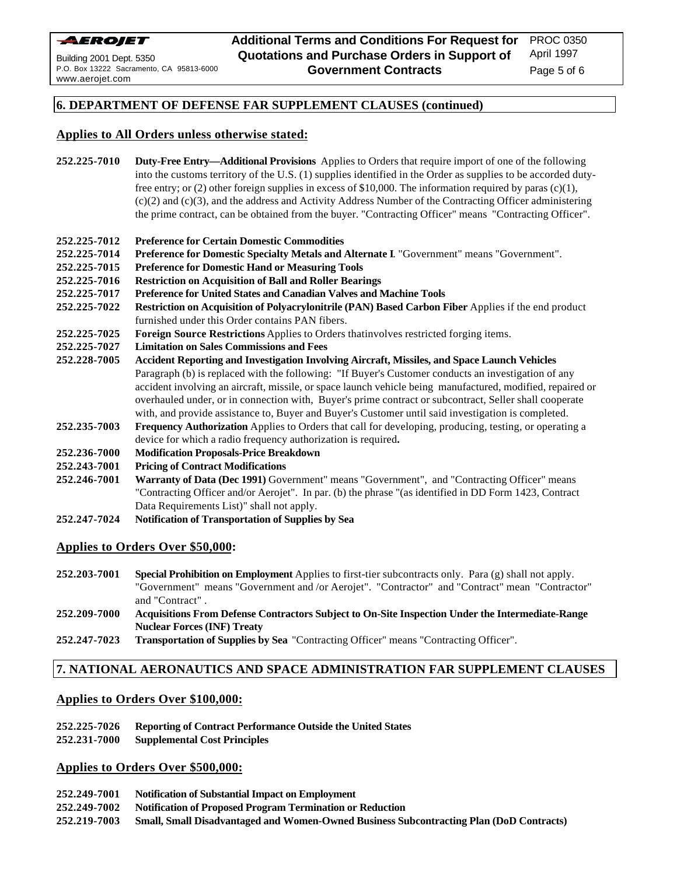

April 1997

Page 5 of 6

#### **6. DEPARTMENT OF DEFENSE FAR SUPPLEMENT CLAUSES (continued)**

#### **Applies to All Orders unless otherwise stated:**

- **252.225-7010 Duty-Free Entry—Additional Provisions** Applies to Orders that require import of one of the following into the customs territory of the U.S. (1) supplies identified in the Order as supplies to be accorded dutyfree entry; or (2) other foreign supplies in excess of \$10,000. The information required by paras (c)(1), (c)(2) and (c)(3), and the address and Activity Address Number of the Contracting Officer administering the prime contract, can be obtained from the buyer. "Contracting Officer" means "Contracting Officer".
- **252.225-7012 Preference for Certain Domestic Commodities**
- **252.225-7014 Preference for Domestic Specialty Metals and Alternate I**. "Government" means "Government".
- **252.225-7015 Preference for Domestic Hand or Measuring Tools**
- **252.225-7016 Restriction on Acquisition of Ball and Roller Bearings**
- **252.225-7017 Preference for United States and Canadian Valves and Machine Tools**
- **252.225-7022 Restriction on Acquisition of Polyacrylonitrile (PAN) Based Carbon Fiber** Applies if the end product furnished under this Order contains PAN fibers.
- **252.225-7025 Foreign Source Restrictions** Applies to Orders thatinvolves restricted forging items.
- **252.225-7027 Limitation on Sales Commissions and Fees**
- **252.228-7005 Accident Reporting and Investigation Involving Aircraft, Missiles, and Space Launch Vehicles** Paragraph (b) is replaced with the following: "If Buyer's Customer conducts an investigation of any accident involving an aircraft, missile, or space launch vehicle being manufactured, modified, repaired or overhauled under, or in connection with, Buyer's prime contract or subcontract, Seller shall cooperate with, and provide assistance to, Buyer and Buyer's Customer until said investigation is completed.
- **252.235-7003 Frequency Authorization** Applies to Orders that call for developing, producing, testing, or operating a device for which a radio frequency authorization is required**.**

#### **252.236-7000 Modification Proposals-Price Breakdown**

- **252.243-7001 Pricing of Contract Modifications**
- **252.246-7001 Warranty of Data (Dec 1991)** Government" means "Government", and "Contracting Officer" means "Contracting Officer and/or Aerojet". In par. (b) the phrase "(as identified in DD Form 1423, Contract Data Requirements List)" shall not apply.
- **252.247-7024 Notification of Transportation of Supplies by Sea**

#### **Applies to Orders Over \$50,000:**

**252.203-7001 Special Prohibition on Employment** Applies to first-tier subcontracts only. Para (g) shall not apply. "Government" means "Government and /or Aerojet". "Contractor" and "Contract" mean "Contractor" and "Contract" .

#### **252.209-7000 Acquisitions From Defense Contractors Subject to On-Site Inspection Under the Intermediate-Range Nuclear Forces (INF) Treaty**

**252.247-7023 Transportation of Supplies by Sea** "Contracting Officer" means "Contracting Officer".

#### **7. NATIONAL AERONAUTICS AND SPACE ADMINISTRATION FAR SUPPLEMENT CLAUSES**

#### **Applies to Orders Over \$100,000:**

- **252.225-7026 Reporting of Contract Performance Outside the United States**
- **252.231-7000 Supplemental Cost Principles**

#### **Applies to Orders Over \$500,000:**

- **252.249-7001 Notification of Substantial Impact on Employment**
- **252.249-7002 Notification of Proposed Program Termination or Reduction**
- **252.219-7003 Small, Small Disadvantaged and Women-Owned Business Subcontracting Plan (DoD Contracts)**